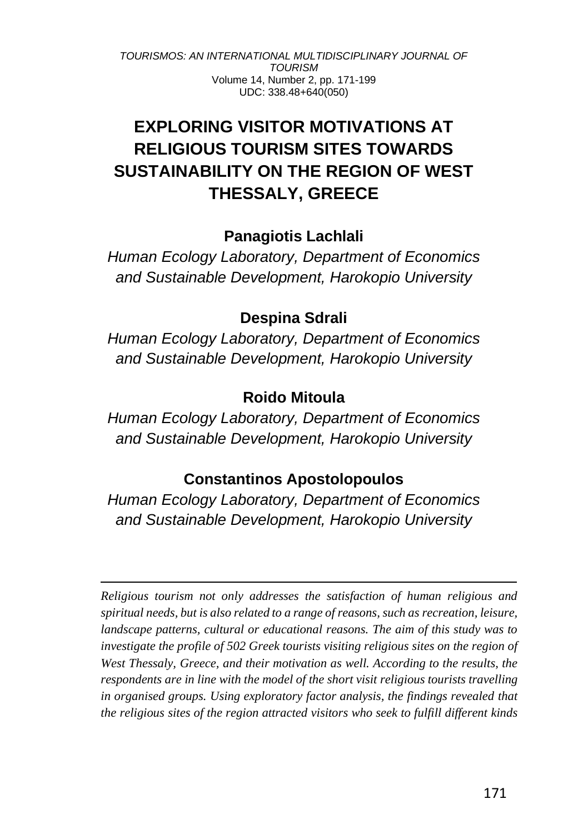# **EXPLORING VISITOR MOTIVATIONS AT RELIGIOUS TOURISM SITES TOWARDS SUSTAINABILITY ON THE REGION OF WEST THESSALY, GREECE**

## **Panagiotis Lachlali**

*Human Ecology Laboratory, Department of Economics and Sustainable Development, Harokopio University*

## **Despina Sdrali**

*Human Ecology Laboratory, Department of Economics and Sustainable Development, Harokopio University*

## **Roido Mitoula**

*Human Ecology Laboratory, Department of Economics and Sustainable Development, Harokopio University*

## **Constantinos Apostolopoulos**

*Human Ecology Laboratory, Department of Economics and Sustainable Development, Harokopio University*

*Religious tourism not only addresses the satisfaction of human religious and spiritual needs, but is also related to a range of reasons, such as recreation, leisure, landscape patterns, cultural or educational reasons. The aim of this study was to investigate the profile of 502 Greek tourists visiting religious sites on the region of West Thessaly, Greece, and their motivation as well. According to the results, the respondents are in line with the model of the short visit religious tourists travelling in organised groups. Using exploratory factor analysis, the findings revealed that the religious sites of the region attracted visitors who seek to fulfill different kinds*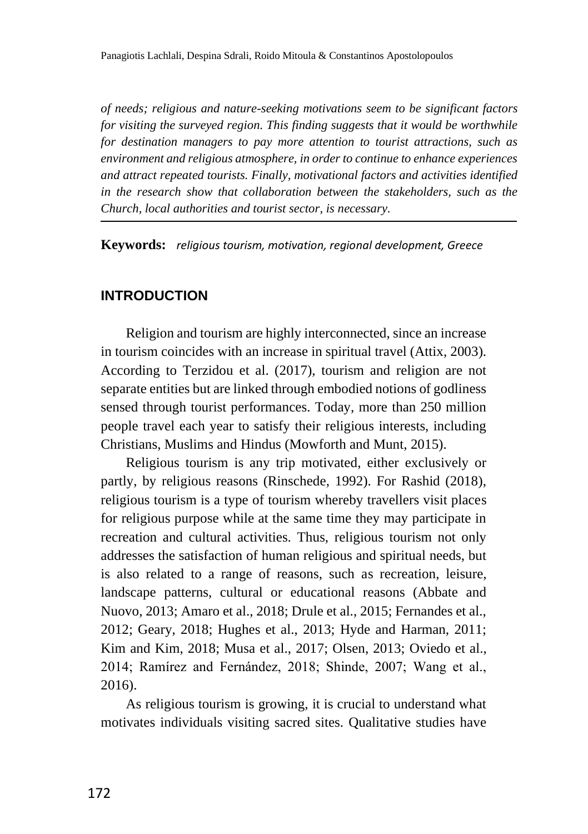*of needs; religious and nature-seeking motivations seem to be significant factors for visiting the surveyed region. This finding suggests that it would be worthwhile for destination managers to pay more attention to tourist attractions, such as environment and religious atmosphere, in order to continue to enhance experiences and attract repeated tourists. Finally, motivational factors and activities identified in the research show that collaboration between the stakeholders, such as the Church, local authorities and tourist sector, is necessary.*

**Keywords:** *religious tourism, motivation, regional development, Greece*

### **INTRODUCTION**

Religion and tourism are highly interconnected, since an increase in tourism coincides with an increase in spiritual travel (Attix, 2003). According to Terzidou et al. (2017), tourism and religion are not separate entities but are linked through embodied notions of godliness sensed through tourist performances. Today, more than 250 million people travel each year to satisfy their religious interests, including Christians, Muslims and Hindus (Mowforth and Munt, 2015).

Religious tourism is any trip motivated, either exclusively or partly, by religious reasons (Rinschede, 1992). For Rashid (2018), religious tourism is a type of tourism whereby travellers visit places for religious purpose while at the same time they may participate in recreation and cultural activities. Thus, religious tourism not only addresses the satisfaction of human religious and spiritual needs, but is also related to a range of reasons, such as recreation, leisure, landscape patterns, cultural or educational reasons (Abbate and Nuovo, 2013; Amaro et al., 2018; Drule et al., 2015; Fernandes et al., 2012; Geary, 2018; Hughes et al., 2013; Hyde and Harman, 2011; Kim and Kim, 2018; Musa et al., 2017; Olsen, 2013; Oviedo et al., 2014; Ramírez and Fernández, 2018; Shinde, 2007; Wang et al., 2016).

As religious tourism is growing, it is crucial to understand what motivates individuals visiting sacred sites. Qualitative studies have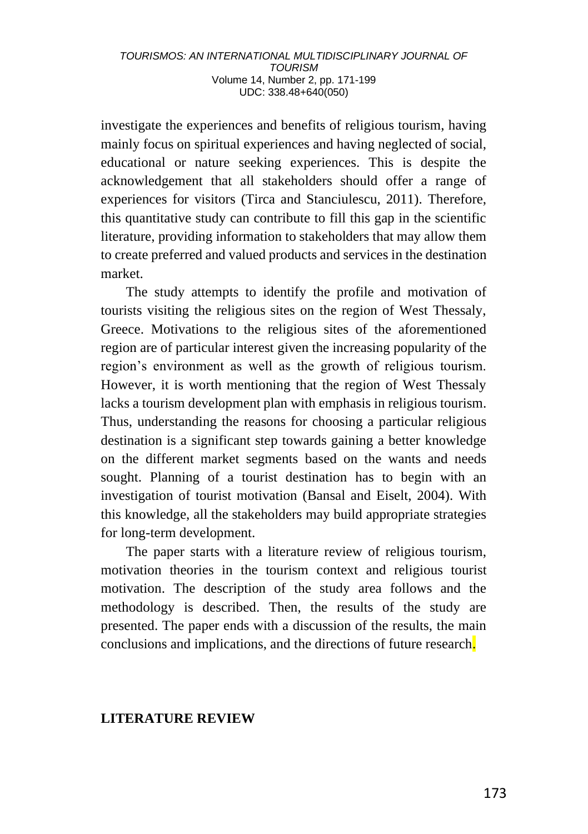investigate the experiences and benefits of religious tourism, having mainly focus on spiritual experiences and having neglected of social, educational or nature seeking experiences. This is despite the acknowledgement that all stakeholders should offer a range of experiences for visitors (Tirca and Stanciulescu, 2011). Therefore, this quantitative study can contribute to fill this gap in the scientific literature, providing information to stakeholders that may allow them to create preferred and valued products and services in the destination market.

The study attempts to identify the profile and motivation of tourists visiting the religious sites on the region of West Thessaly, Greece. Motivations to the religious sites of the aforementioned region are of particular interest given the increasing popularity of the region's environment as well as the growth of religious tourism. However, it is worth mentioning that the region of West Thessaly lacks a tourism development plan with emphasis in religious tourism. Thus, understanding the reasons for choosing a particular religious destination is a significant step towards gaining a better knowledge on the different market segments based on the wants and needs sought. Planning of a tourist destination has to begin with an investigation of tourist motivation (Bansal and Eiselt, 2004). With this knowledge, all the stakeholders may build appropriate strategies for long-term development.

The paper starts with a literature review of religious tourism, motivation theories in the tourism context and religious tourist motivation. The description of the study area follows and the methodology is described. Then, the results of the study are presented. The paper ends with a discussion of the results, the main conclusions and implications, and the directions of future research.

#### **LITERATURE REVIEW**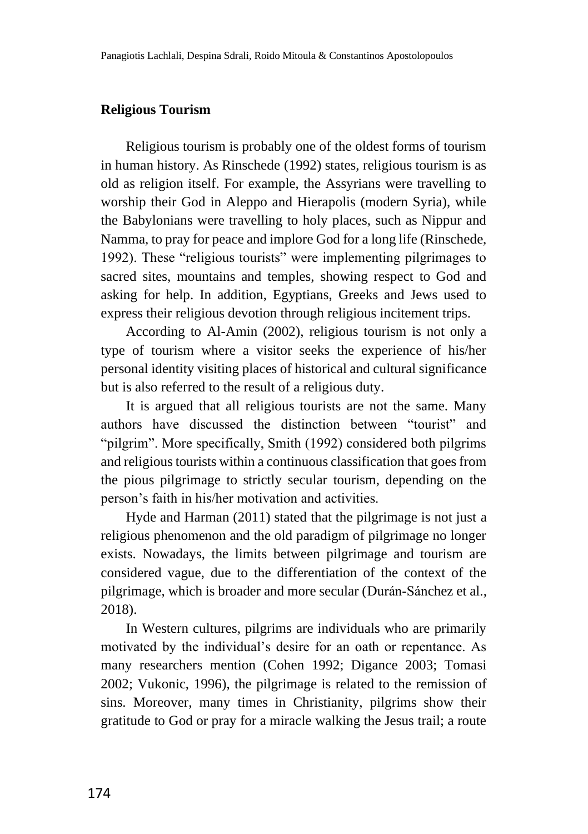#### **Religious Tourism**

Religious tourism is probably one of the oldest forms of tourism in human history. As Rinschede (1992) states, religious tourism is as old as religion itself. For example, the Assyrians were travelling to worship their God in Aleppo and Hierapolis (modern Syria), while the Babylonians were travelling to holy places, such as Nippur and Namma, to pray for peace and implore God for a long life (Rinschede, 1992). These "religious tourists" were implementing pilgrimages to sacred sites, mountains and temples, showing respect to God and asking for help. In addition, Egyptians, Greeks and Jews used to express their religious devotion through religious incitement trips.

According to Al-Amin (2002), religious tourism is not only a type of tourism where a visitor seeks the experience of his/her personal identity visiting places of historical and cultural significance but is also referred to the result of a religious duty.

It is argued that all religious tourists are not the same. Many authors have discussed the distinction between "tourist" and "pilgrim". More specifically, Smith (1992) considered both pilgrims and religious tourists within a continuous classification that goes from the pious pilgrimage to strictly secular tourism, depending on the person's faith in his/her motivation and activities.

Hyde and Harman (2011) stated that the pilgrimage is not just a religious phenomenon and the old paradigm of pilgrimage no longer exists. Nowadays, the limits between pilgrimage and tourism are considered vague, due to the differentiation of the context of the pilgrimage, which is broader and more secular (Durán-Sánchez et al., 2018).

In Western cultures, pilgrims are individuals who are primarily motivated by the individual's desire for an oath or repentance. As many researchers mention (Cohen 1992; Digance 2003; Tomasi 2002; Vukonic, 1996), the pilgrimage is related to the remission of sins. Moreover, many times in Christianity, pilgrims show their gratitude to God or pray for a miracle walking the Jesus trail; a route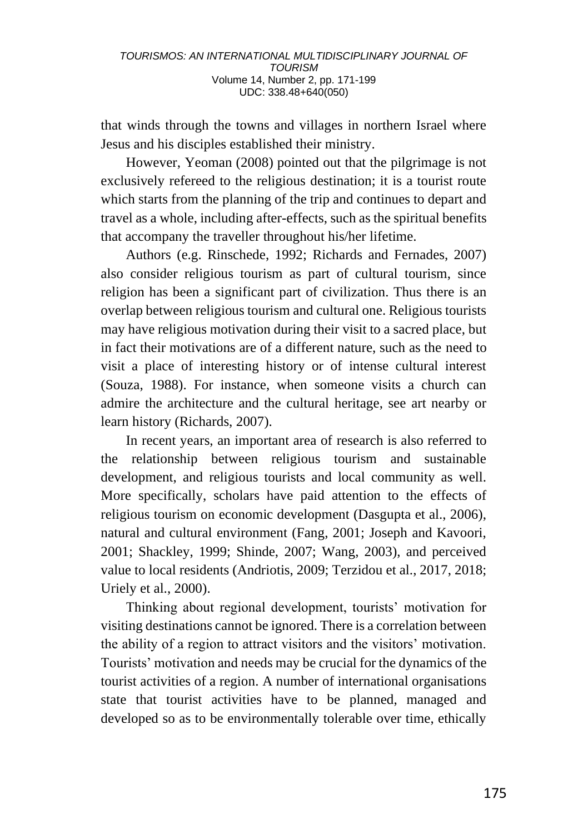that winds through the towns and villages in northern Israel where Jesus and his disciples established their ministry.

However, Yeoman (2008) pointed out that the pilgrimage is not exclusively refereed to the religious destination; it is a tourist route which starts from the planning of the trip and continues to depart and travel as a whole, including after-effects, such as the spiritual benefits that accompany the traveller throughout his/her lifetime.

Authors (e.g. Rinschede, 1992; Richards and Fernades, 2007) also consider religious tourism as part of cultural tourism, since religion has been a significant part of civilization. Thus there is an overlap between religious tourism and cultural one. Religious tourists may have religious motivation during their visit to a sacred place, but in fact their motivations are of a different nature, such as the need to visit a place of interesting history or of intense cultural interest (Souza, 1988). For instance, when someone visits a church can admire the architecture and the cultural heritage, see art nearby or learn history (Richards, 2007).

In recent years, an important area of research is also referred to the relationship between religious tourism and sustainable development, and religious tourists and local community as well. More specifically, scholars have paid attention to the effects of religious tourism on economic development (Dasgupta et al., 2006), natural and cultural environment (Fang, 2001; Joseph and Kavoori, 2001; Shackley, 1999; Shinde, 2007; Wang, 2003), and perceived value to local residents (Andriotis, 2009; Terzidou et al., 2017, 2018; Uriely et al., 2000).

Thinking about regional development, tourists' motivation for visiting destinations cannot be ignored. There is a correlation between the ability of a region to attract visitors and the visitors' motivation. Tourists' motivation and needs may be crucial for the dynamics of the tourist activities of a region. A number of international organisations state that tourist activities have to be planned, managed and developed so as to be environmentally tolerable over time, ethically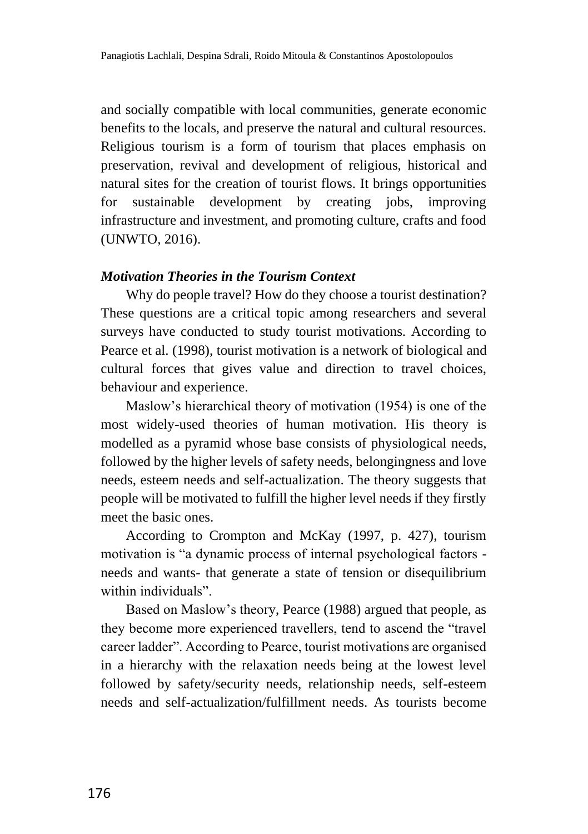and socially compatible with local communities, generate economic benefits to the locals, and preserve the natural and cultural resources. Religious tourism is a form of tourism that places emphasis on preservation, revival and development of religious, historical and natural sites for the creation of tourist flows. It brings opportunities for sustainable development by creating jobs, improving infrastructure and investment, and promoting culture, crafts and food (UNWTO, 2016).

#### *Motivation Theories in the Tourism Context*

Why do people travel? How do they choose a tourist destination? These questions are a critical topic among researchers and several surveys have conducted to study tourist motivations. According to Pearce et al. (1998), tourist motivation is a network of biological and cultural forces that gives value and direction to travel choices, behaviour and experience.

Maslow's hierarchical theory of motivation (1954) is one of the most widely-used theories of human motivation. His theory is modelled as a pyramid whose base consists of physiological needs, followed by the higher levels of safety needs, belongingness and love needs, esteem needs and self-actualization. The theory suggests that people will be motivated to fulfill the higher level needs if they firstly meet the basic ones.

According to Crompton and McKay (1997, p. 427), tourism motivation is "a dynamic process of internal psychological factors needs and wants- that generate a state of tension or disequilibrium within individuals".

Based on Maslow's theory, Pearce (1988) argued that people, as they become more experienced travellers, tend to ascend the "travel career ladder". According to Pearce, tourist motivations are organised in a hierarchy with the relaxation needs being at the lowest level followed by safety/security needs, relationship needs, self-esteem needs and self-actualization/fulfillment needs. As tourists become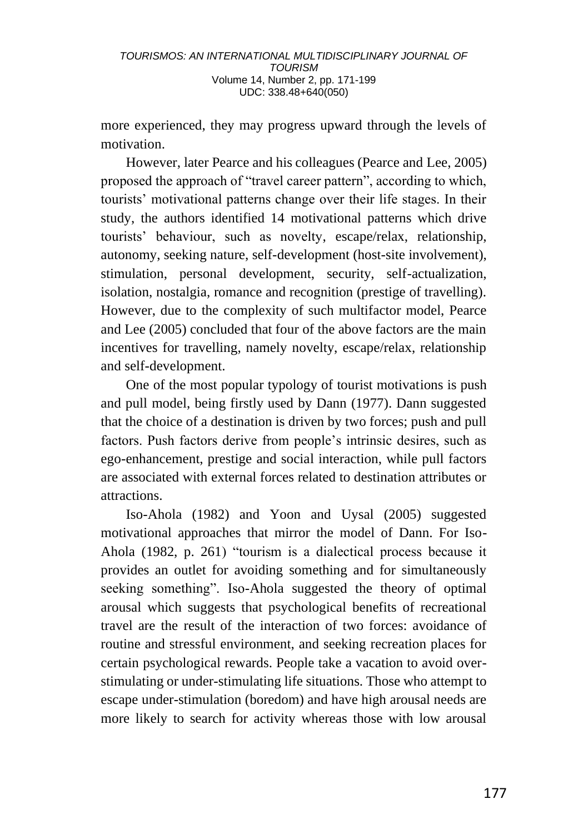more experienced, they may progress upward through the levels of motivation.

However, later Pearce and his colleagues (Pearce and Lee, 2005) proposed the approach of "travel career pattern", according to which, tourists' motivational patterns change over their life stages. In their study, the authors identified 14 motivational patterns which drive tourists' behaviour, such as novelty, escape/relax, relationship, autonomy, seeking nature, self-development (host-site involvement), stimulation, personal development, security, self-actualization, isolation, nostalgia, romance and recognition (prestige of travelling). However, due to the complexity of such multifactor model, Pearce and Lee (2005) concluded that four of the above factors are the main incentives for travelling, namely novelty, escape/relax, relationship and self-development.

One of the most popular typology of tourist motivations is push and pull model, being firstly used by Dann (1977). Dann suggested that the choice of a destination is driven by two forces; push and pull factors. Push factors derive from people's intrinsic desires, such as ego-enhancement, prestige and social interaction, while pull factors are associated with external forces related to destination attributes or attractions.

Iso-Ahola (1982) and Yoon and Uysal (2005) suggested motivational approaches that mirror the model of Dann. For Iso-Ahola (1982, p. 261) "tourism is a dialectical process because it provides an outlet for avoiding something and for simultaneously seeking something". Iso-Ahola suggested the theory of optimal arousal which suggests that psychological benefits of recreational travel are the result of the interaction of two forces: avoidance of routine and stressful environment, and seeking recreation places for certain psychological rewards. People take a vacation to avoid overstimulating or under-stimulating life situations. Those who attempt to escape under-stimulation (boredom) and have high arousal needs are more likely to search for activity whereas those with low arousal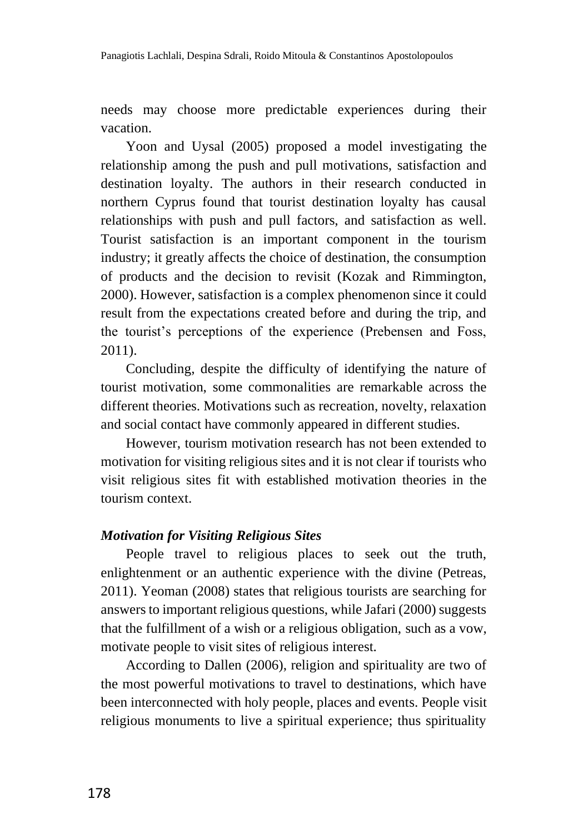needs may choose more predictable experiences during their vacation.

Yoon and Uysal (2005) proposed a model investigating the relationship among the push and pull motivations, satisfaction and destination loyalty. The authors in their research conducted in northern Cyprus found that tourist destination loyalty has causal relationships with push and pull factors, and satisfaction as well. Tourist satisfaction is an important component in the tourism industry; it greatly affects the choice of destination, the consumption of products and the decision to revisit (Kozak and Rimmington, 2000). However, satisfaction is a complex phenomenon since it could result from the expectations created before and during the trip, and the tourist's perceptions of the experience (Prebensen and Foss, 2011).

Concluding, despite the difficulty of identifying the nature of tourist motivation, some commonalities are remarkable across the different theories. Motivations such as recreation, novelty, relaxation and social contact have commonly appeared in different studies.

However, tourism motivation research has not been extended to motivation for visiting religious sites and it is not clear if tourists who visit religious sites fit with established motivation theories in the tourism context.

#### *Motivation for Visiting Religious Sites*

People travel to religious places to seek out the truth, enlightenment or an authentic experience with the divine (Petreas, 2011). Yeoman (2008) states that religious tourists are searching for answers to important religious questions, while Jafari (2000) suggests that the fulfillment of a wish or a religious obligation, such as a vow, motivate people to visit sites of religious interest.

According to Dallen (2006), religion and spirituality are two of the most powerful motivations to travel to destinations, which have been interconnected with holy people, places and events. People visit religious monuments to live a spiritual experience; thus spirituality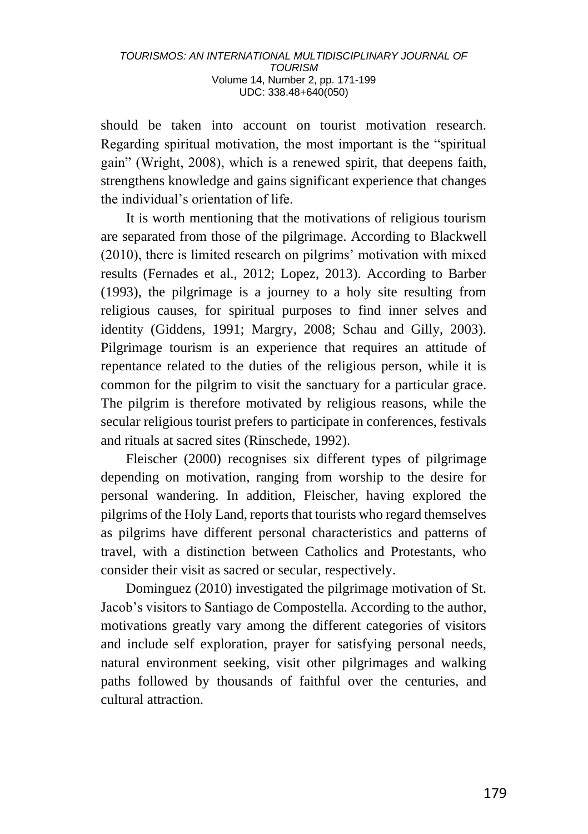should be taken into account on tourist motivation research. Regarding spiritual motivation, the most important is the "spiritual gain" (Wright, 2008), which is a renewed spirit, that deepens faith, strengthens knowledge and gains significant experience that changes the individual's orientation of life.

It is worth mentioning that the motivations of religious tourism are separated from those of the pilgrimage. According to Blackwell (2010), there is limited research on pilgrims' motivation with mixed results (Fernades et al., 2012; Lopez, 2013). According to Barber (1993), the pilgrimage is a journey to a holy site resulting from religious causes, for spiritual purposes to find inner selves and identity (Giddens, 1991; Margry, 2008; Schau and Gilly, 2003). Pilgrimage tourism is an experience that requires an attitude of repentance related to the duties of the religious person, while it is common for the pilgrim to visit the sanctuary for a particular grace. The pilgrim is therefore motivated by religious reasons, while the secular religious tourist prefers to participate in conferences, festivals and rituals at sacred sites (Rinschede, 1992).

Fleischer (2000) recognises six different types of pilgrimage depending on motivation, ranging from worship to the desire for personal wandering. In addition, Fleischer, having explored the pilgrims of the Holy Land, reports that tourists who regard themselves as pilgrims have different personal characteristics and patterns of travel, with a distinction between Catholics and Protestants, who consider their visit as sacred or secular, respectively.

Dominguez (2010) investigated the pilgrimage motivation of St. Jacob's visitors to Santiago de Compostella. According to the author, motivations greatly vary among the different categories of visitors and include self exploration, prayer for satisfying personal needs, natural environment seeking, visit other pilgrimages and walking paths followed by thousands of faithful over the centuries, and cultural attraction.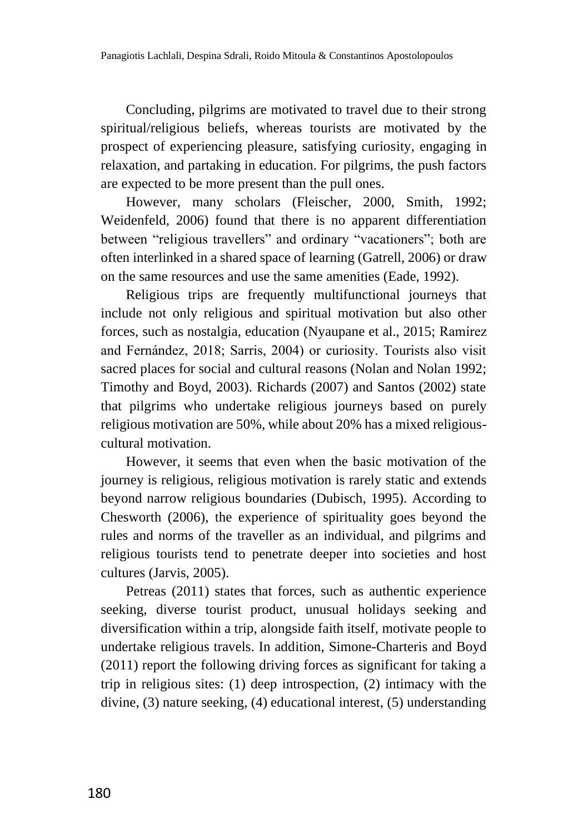Concluding, pilgrims are motivated to travel due to their strong spiritual/religious beliefs, whereas tourists are motivated by the prospect of experiencing pleasure, satisfying curiosity, engaging in relaxation, and partaking in education. For pilgrims, the push factors are expected to be more present than the pull ones.

However, many scholars (Fleischer, 2000, Smith, 1992; Weidenfeld, 2006) found that there is no apparent differentiation between "religious travellers" and ordinary "vacationers"; both are often interlinked in a shared space of learning (Gatrell, 2006) or draw on the same resources and use the same amenities (Eade, 1992).

Religious trips are frequently multifunctional journeys that include not only religious and spiritual motivation but also other forces, such as nostalgia, education (Nyaupane et al., 2015; Ramírez and Fernández, 2018; Sarris, 2004) or curiosity. Tourists also visit sacred places for social and cultural reasons (Nolan and Nolan 1992; Timothy and Boyd, 2003). Richards (2007) and Santos (2002) state that pilgrims who undertake religious journeys based on purely religious motivation are 50%, while about 20% has a mixed religiouscultural motivation.

However, it seems that even when the basic motivation of the journey is religious, religious motivation is rarely static and extends beyond narrow religious boundaries (Dubisch, 1995). According to Chesworth (2006), the experience of spirituality goes beyond the rules and norms of the traveller as an individual, and pilgrims and religious tourists tend to penetrate deeper into societies and host cultures (Jarvis, 2005).

Petreas (2011) states that forces, such as authentic experience seeking, diverse tourist product, unusual holidays seeking and diversification within a trip, alongside faith itself, motivate people to undertake religious travels. In addition, Simone-Charteris and Boyd (2011) report the following driving forces as significant for taking a trip in religious sites: (1) deep introspection, (2) intimacy with the divine, (3) nature seeking, (4) educational interest, (5) understanding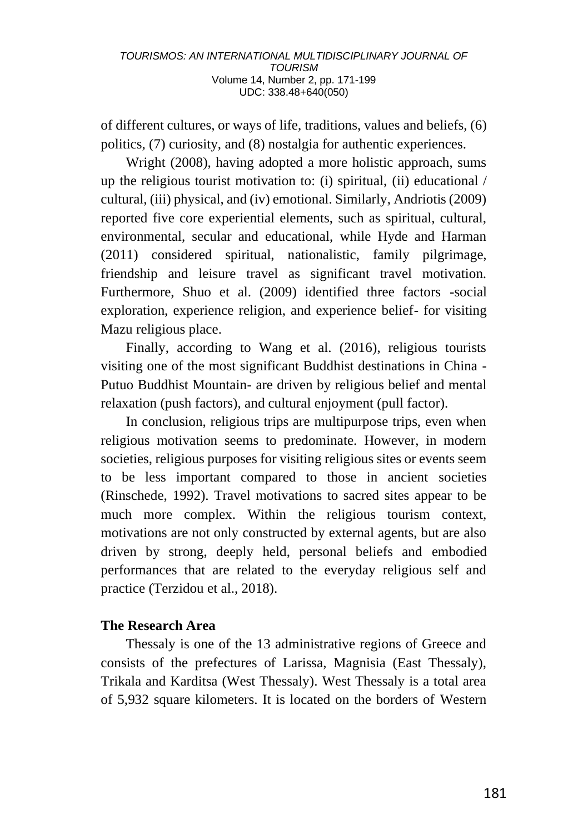of different cultures, or ways of life, traditions, values and beliefs, (6) politics, (7) curiosity, and (8) nostalgia for authentic experiences.

Wright (2008), having adopted a more holistic approach, sums up the religious tourist motivation to: (i) spiritual, (ii) educational / cultural, (iii) physical, and (iv) emotional. Similarly, Andriotis (2009) reported five core experiential elements, such as spiritual, cultural, environmental, secular and educational, while Hyde and Harman (2011) considered spiritual, nationalistic, family pilgrimage, friendship and leisure travel as significant travel motivation. Furthermore, Shuo et al. (2009) identified three factors -social exploration, experience religion, and experience belief- for visiting Mazu religious place.

Finally, according to Wang et al. (2016), religious tourists visiting one of the most significant Buddhist destinations in China - Putuo Buddhist Mountain- are driven by religious belief and mental relaxation (push factors), and cultural enjoyment (pull factor).

In conclusion, religious trips are multipurpose trips, even when religious motivation seems to predominate. However, in modern societies, religious purposes for visiting religious sites or events seem to be less important compared to those in ancient societies (Rinschede, 1992). Travel motivations to sacred sites appear to be much more complex. Within the religious tourism context, motivations are not only constructed by external agents, but are also driven by strong, deeply held, personal beliefs and embodied performances that are related to the everyday religious self and practice (Terzidou et al., 2018).

### **The Research Area**

Thessaly is one of the 13 administrative regions of Greece and consists of the prefectures of Larissa, Magnisia (East Thessaly), Trikala and Karditsa (West Thessaly). West Thessaly is a total area of 5,932 square kilometers. It is located on the borders of Western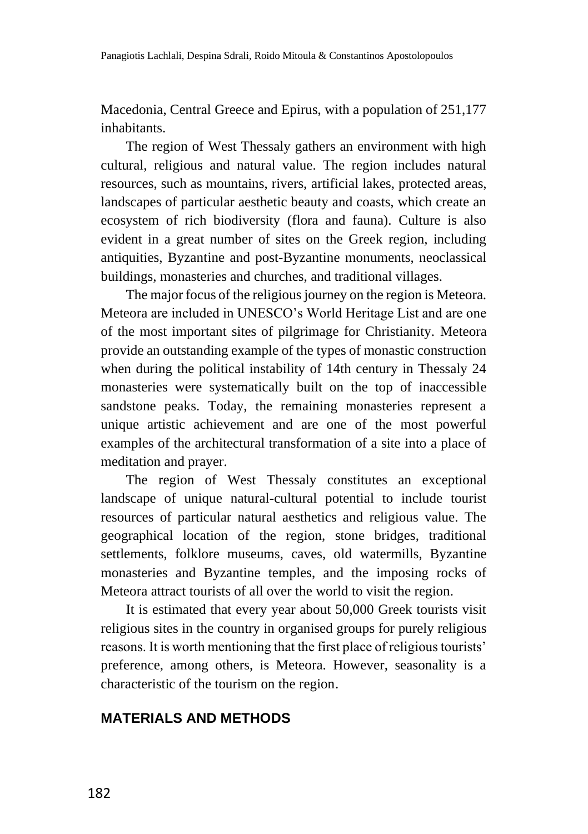Macedonia, Central Greece and Epirus, with a population of 251,177 inhabitants.

The region of West Thessaly gathers an environment with high cultural, religious and natural value. The region includes natural resources, such as mountains, rivers, artificial lakes, protected areas, landscapes of particular aesthetic beauty and coasts, which create an ecosystem of rich biodiversity (flora and fauna). Culture is also evident in a great number of sites on the Greek region, including antiquities, Byzantine and post-Byzantine monuments, neoclassical buildings, monasteries and churches, and traditional villages.

The major focus of the religious journey on the region is Meteora. Meteora are included in UNESCO's World Heritage List and are one of the most important sites of pilgrimage for Christianity. Meteora provide an outstanding example of the types of monastic construction when during the political instability of 14th century in Thessaly 24 monasteries were systematically built on the top of inaccessible sandstone peaks. Today, the remaining monasteries represent a unique artistic achievement and are one of the most powerful examples of the architectural transformation of a site into a place of meditation and prayer.

The region of West Thessaly constitutes an exceptional landscape of unique natural-cultural potential to include tourist resources of particular natural aesthetics and religious value. The geographical location of the region, stone bridges, traditional settlements, folklore museums, caves, old watermills, Byzantine monasteries and Byzantine temples, and the imposing rocks of Meteora attract tourists of all over the world to visit the region.

It is estimated that every year about 50,000 Greek tourists visit religious sites in the country in organised groups for purely religious reasons. It is worth mentioning that the first place of religious tourists' preference, among others, is Meteora. However, seasonality is a characteristic of the tourism on the region.

### **MATERIALS AND METHODS**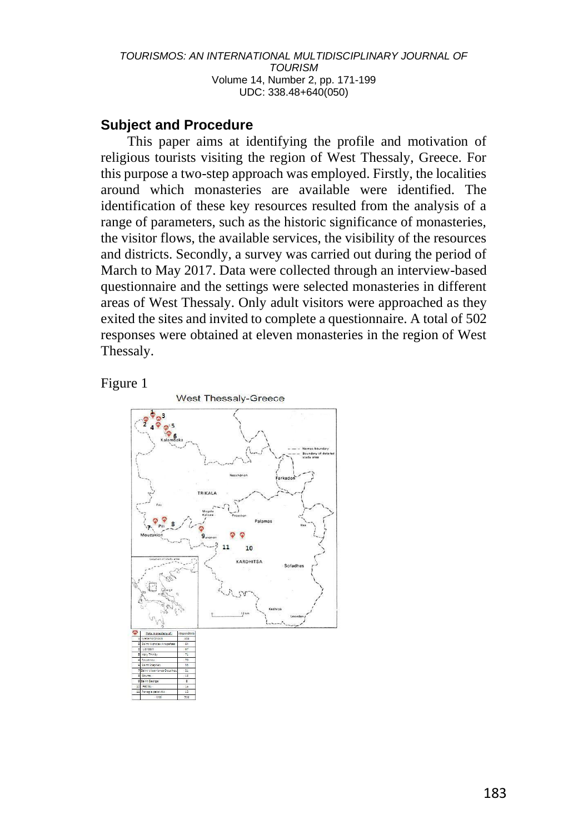### **Subject and Procedure**

This paper aims at identifying the profile and motivation of religious tourists visiting the region of West Thessaly, Greece. For this purpose a two-step approach was employed. Firstly, the localities around which monasteries are available were identified. The identification of these key resources resulted from the analysis of a range of parameters, such as the historic significance of monasteries, the visitor flows, the available services, the visibility of the resources and districts. Secondly, a survey was carried out during the period of March to May 2017. Data were collected through an interview-based questionnaire and the settings were selected monasteries in different areas of West Thessaly. Only adult visitors were approached as they exited the sites and invited to complete a questionnaire. A total of 502 responses were obtained at eleven monasteries in the region of West Thessaly.

#### Figure 1

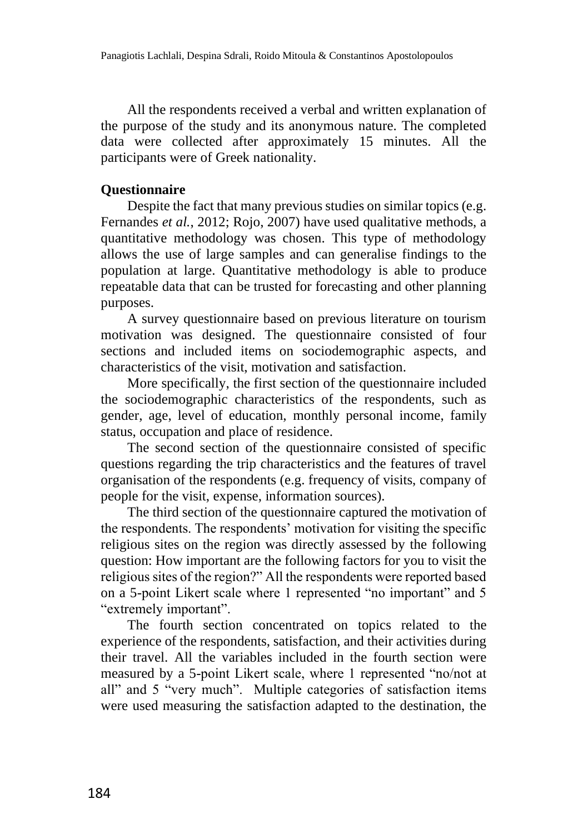All the respondents received a verbal and written explanation of the purpose of the study and its anonymous nature. The completed data were collected after approximately 15 minutes. All the participants were of Greek nationality.

#### **Questionnaire**

Despite the fact that many previous studies on similar topics (e.g. Fernandes *et al.*, 2012; Rojo, 2007) have used qualitative methods, a quantitative methodology was chosen. This type of methodology allows the use of large samples and can generalise findings to the population at large. Quantitative methodology is able to produce repeatable data that can be trusted for forecasting and other planning purposes.

A survey questionnaire based on previous literature on tourism motivation was designed. The questionnaire consisted of four sections and included items on sociodemographic aspects, and characteristics of the visit, motivation and satisfaction.

More specifically, the first section of the questionnaire included the sociodemographic characteristics of the respondents, such as gender, age, level of education, monthly personal income, family status, occupation and place of residence.

The second section of the questionnaire consisted of specific questions regarding the trip characteristics and the features of travel organisation of the respondents (e.g. frequency of visits, company of people for the visit, expense, information sources).

The third section of the questionnaire captured the motivation of the respondents. The respondents' motivation for visiting the specific religious sites on the region was directly assessed by the following question: How important are the following factors for you to visit the religious sites of the region?" All the respondents were reported based on a 5-point Likert scale where 1 represented "no important" and 5 "extremely important".

The fourth section concentrated on topics related to the experience of the respondents, satisfaction, and their activities during their travel. All the variables included in the fourth section were measured by a 5-point Likert scale, where 1 represented "no/not at all" and 5 "very much". Multiple categories of satisfaction items were used measuring the satisfaction adapted to the destination, the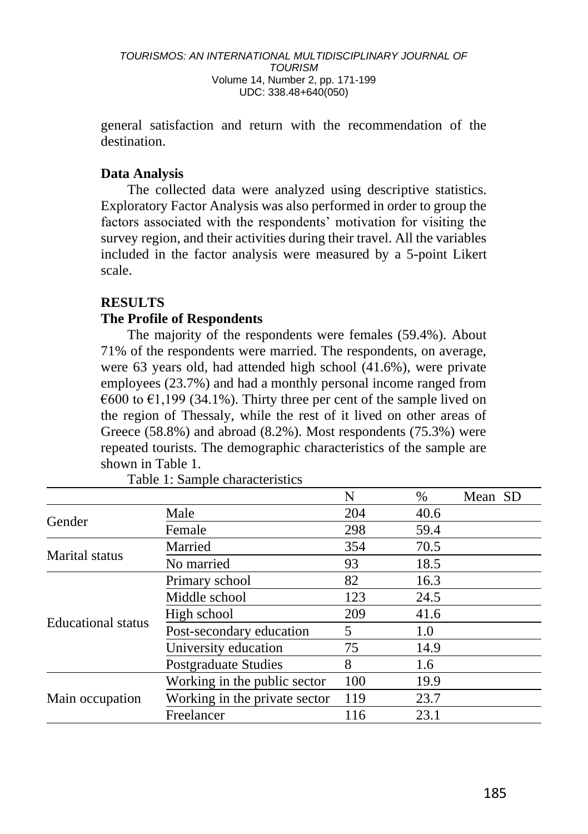general satisfaction and return with the recommendation of the destination.

#### **Data Analysis**

The collected data were analyzed using descriptive statistics. Exploratory Factor Analysis was also performed in order to group the factors associated with the respondents' motivation for visiting the survey region, and their activities during their travel. All the variables included in the factor analysis were measured by a 5-point Likert scale.

#### **RESULTS**

#### **The Profile of Respondents**

The majority of the respondents were females (59.4%). About 71% of the respondents were married. The respondents, on average, were 63 years old, had attended high school (41.6%), were private employees (23.7%) and had a monthly personal income ranged from  $\epsilon$ 600 to  $\epsilon$ 1,199 (34.1%). Thirty three per cent of the sample lived on the region of Thessaly, while the rest of it lived on other areas of Greece (58.8%) and abroad (8.2%). Most respondents (75.3%) were repeated tourists. The demographic characteristics of the sample are shown in Table 1.

|                           |                               | N   | $\%$ | Mean SD |
|---------------------------|-------------------------------|-----|------|---------|
| Gender                    | Male                          | 204 | 40.6 |         |
|                           | Female                        | 298 | 59.4 |         |
| Marital status            | Married                       | 354 | 70.5 |         |
|                           | No married                    | 93  | 18.5 |         |
| <b>Educational</b> status | Primary school                | 82  | 16.3 |         |
|                           | Middle school                 | 123 | 24.5 |         |
|                           | High school                   | 209 | 41.6 |         |
|                           | Post-secondary education      | 5   | 1.0  |         |
|                           | University education          | 75  | 14.9 |         |
|                           | <b>Postgraduate Studies</b>   | 8   | 1.6  |         |
| Main occupation           | Working in the public sector  | 100 | 19.9 |         |
|                           | Working in the private sector | 119 | 23.7 |         |
|                           | Freelancer                    | 116 | 23.1 |         |

Table 1: Sample characteristics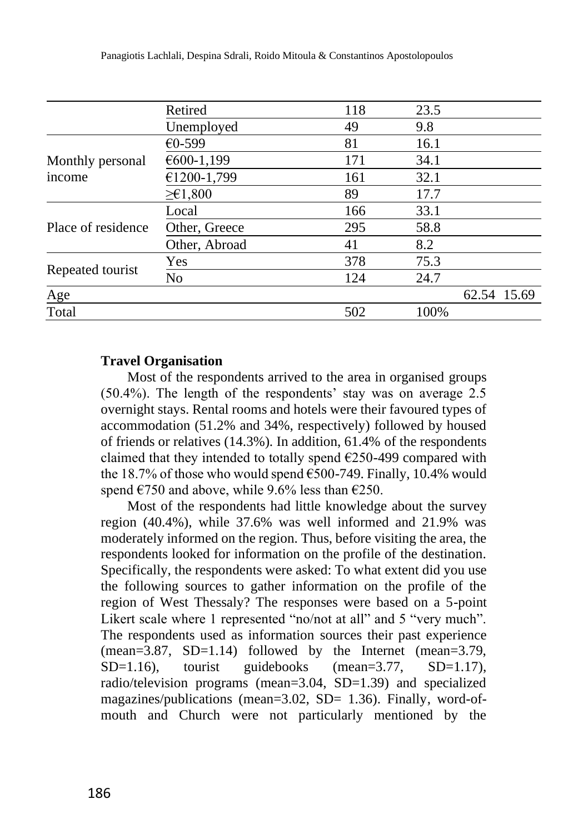|                            | Retired               | 118 | 23.5 |             |
|----------------------------|-----------------------|-----|------|-------------|
|                            | Unemployed            | 49  | 9.8  |             |
| Monthly personal<br>income | €0-599                | 81  | 16.1 |             |
|                            | €600-1,199            | 171 | 34.1 |             |
|                            | €1200-1,799           | 161 | 32.1 |             |
|                            | $\geq \epsilon 1,800$ | 89  | 17.7 |             |
| Place of residence         | Local                 | 166 | 33.1 |             |
|                            | Other, Greece         | 295 | 58.8 |             |
|                            | Other, Abroad         | 41  | 8.2  |             |
| Repeated tourist           | Yes                   | 378 | 75.3 |             |
|                            | N <sub>o</sub>        | 124 | 24.7 |             |
| Age                        |                       |     |      | 62.54 15.69 |
| Total                      |                       | 502 | 100% |             |

#### **Travel Organisation**

Most of the respondents arrived to the area in organised groups (50.4%). The length of the respondents' stay was on average 2.5 overnight stays. Rental rooms and hotels were their favoured types of accommodation (51.2% and 34%, respectively) followed by housed of friends or relatives (14.3%). In addition, 61.4% of the respondents claimed that they intended to totally spend  $E$ 250-499 compared with the 18.7% of those who would spend  $\epsilon$ 500-749. Finally, 10.4% would spend  $\epsilon$ 750 and above, while 9.6% less than  $\epsilon$ 250.

Most of the respondents had little knowledge about the survey region (40.4%), while 37.6% was well informed and 21.9% was moderately informed on the region. Thus, before visiting the area, the respondents looked for information on the profile of the destination. Specifically, the respondents were asked: To what extent did you use the following sources to gather information on the profile of the region of West Thessaly? The responses were based on a 5-point Likert scale where 1 represented "no/not at all" and 5 "very much". The respondents used as information sources their past experience (mean=3.87, SD=1.14) followed by the Internet (mean=3.79,  $SD=1.16$ ), tourist guidebooks (mean=3.77,  $SD=1.17$ ), radio/television programs (mean=3.04, SD=1.39) and specialized magazines/publications (mean=3.02, SD= 1.36). Finally, word-ofmouth and Church were not particularly mentioned by the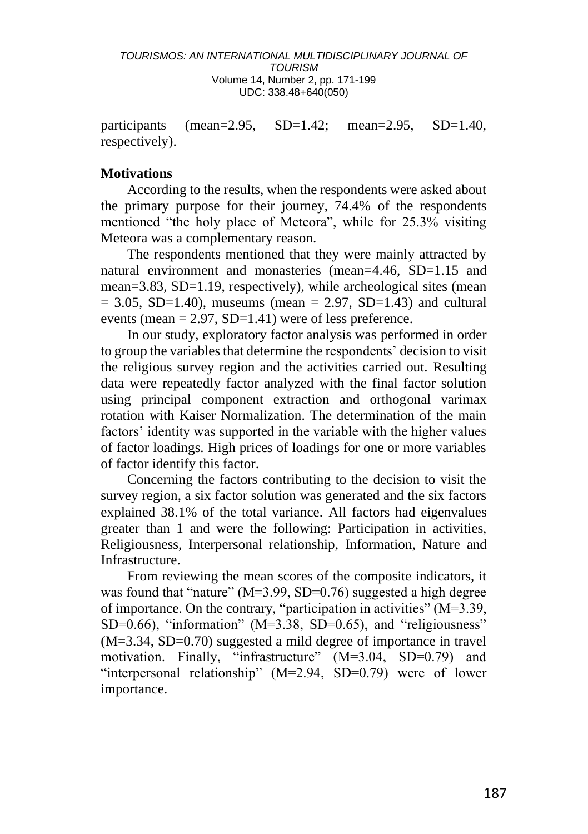participants (mean=2.95, SD=1.42; mean=2.95, SD=1.40, respectively).

#### **Motivations**

According to the results, when the respondents were asked about the primary purpose for their journey, 74.4% of the respondents mentioned "the holy place of Meteora", while for 25.3% visiting Meteora was a complementary reason.

The respondents mentioned that they were mainly attracted by natural environment and monasteries (mean=4.46, SD=1.15 and mean=3.83, SD=1.19, respectively), while archeological sites (mean  $= 3.05$ , SD=1.40), museums (mean  $= 2.97$ , SD=1.43) and cultural events (mean  $= 2.97$ , SD=1.41) were of less preference.

In our study, exploratory factor analysis was performed in order to group the variables that determine the respondents' decision to visit the religious survey region and the activities carried out. Resulting data were repeatedly factor analyzed with the final factor solution using principal component extraction and orthogonal varimax rotation with Kaiser Normalization. The determination of the main factors' identity was supported in the variable with the higher values of factor loadings. High prices of loadings for one or more variables of factor identify this factor.

Concerning the factors contributing to the decision to visit the survey region, a six factor solution was generated and the six factors explained 38.1% of the total variance. All factors had eigenvalues greater than 1 and were the following: Participation in activities, Religiousness, Interpersonal relationship, Information, Nature and Infrastructure.

From reviewing the mean scores of the composite indicators, it was found that "nature" (M=3.99, SD=0.76) suggested a high degree of importance. On the contrary, "participation in activities" (Μ=3.39, SD=0.66), "information" ( $M=3.38$ , SD=0.65), and "religiousness" (M=3.34, SD=0.70) suggested a mild degree of importance in travel motivation. Finally, "infrastructure" (M=3.04, SD=0.79) and "interpersonal relationship" (M=2.94, SD=0.79) were of lower importance.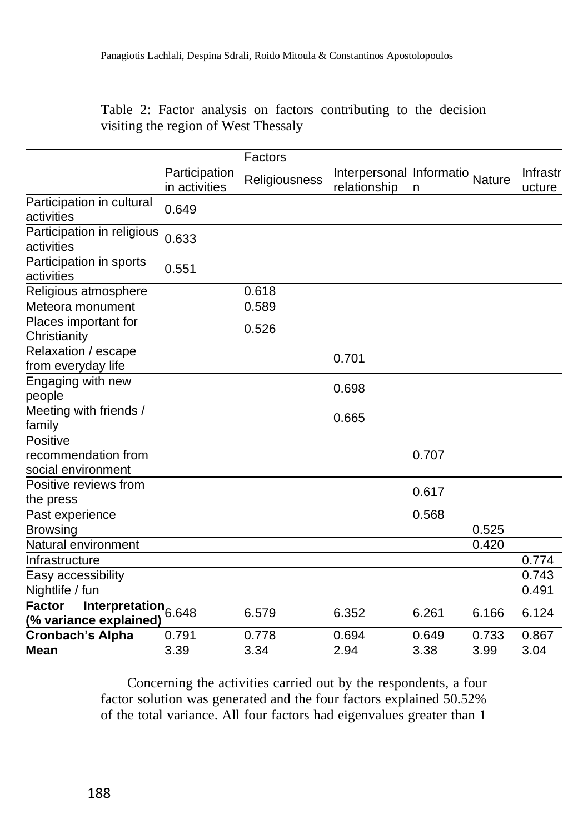Table 2: Factor analysis on factors contributing to the decision visiting the region of West Thessaly

|                                                                            |                                | Factors       |                                          |       |        |                    |
|----------------------------------------------------------------------------|--------------------------------|---------------|------------------------------------------|-------|--------|--------------------|
|                                                                            | Participation<br>in activities | Religiousness | Interpersonal Informatio<br>relationship | n     | Nature | Infrastr<br>ucture |
| Participation in cultural<br>activities                                    | 0.649                          |               |                                          |       |        |                    |
| Participation in religious<br>activities                                   | 0.633                          |               |                                          |       |        |                    |
| Participation in sports<br>activities                                      | 0.551                          |               |                                          |       |        |                    |
| Religious atmosphere                                                       |                                | 0.618         |                                          |       |        |                    |
| Meteora monument                                                           |                                | 0.589         |                                          |       |        |                    |
| Places important for<br>Christianity                                       |                                | 0.526         |                                          |       |        |                    |
| Relaxation / escape<br>from everyday life                                  |                                |               | 0.701                                    |       |        |                    |
| Engaging with new<br>people                                                |                                |               | 0.698                                    |       |        |                    |
| Meeting with friends /<br>family                                           |                                |               | 0.665                                    |       |        |                    |
| Positive                                                                   |                                |               |                                          |       |        |                    |
| recommendation from<br>social environment                                  |                                |               |                                          | 0.707 |        |                    |
| Positive reviews from<br>the press                                         |                                |               |                                          | 0.617 |        |                    |
| Past experience                                                            |                                |               |                                          | 0.568 |        |                    |
| <b>Browsing</b>                                                            |                                |               |                                          |       | 0.525  |                    |
| Natural environment                                                        |                                |               |                                          |       | 0.420  |                    |
| Infrastructure                                                             |                                |               |                                          |       |        | 0.774              |
| Easy accessibility                                                         |                                |               |                                          |       |        | 0.743              |
| Nightlife / fun                                                            |                                |               |                                          |       |        | 0.491              |
| <b>Factor</b><br>Interpretation <sub>6.648</sub><br>(% variance explained) |                                | 6.579         | 6.352                                    | 6.261 | 6.166  | 6.124              |
| <b>Cronbach's Alpha</b>                                                    | 0.791                          | 0.778         | 0.694                                    | 0.649 | 0.733  | 0.867              |
| Mean                                                                       | 3.39                           | 3.34          | 2.94                                     | 3.38  | 3.99   | 3.04               |

Concerning the activities carried out by the respondents, a four factor solution was generated and the four factors explained 50.52% of the total variance. All four factors had eigenvalues greater than 1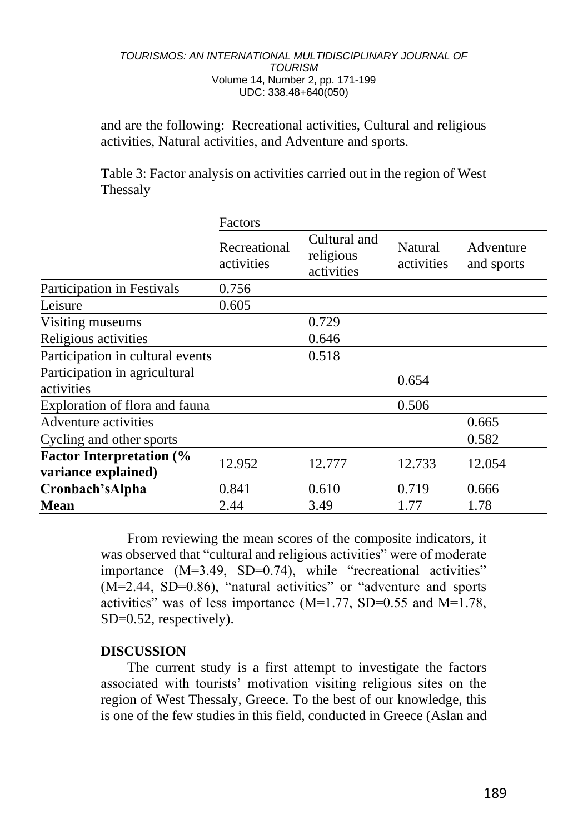and are the following: Recreational activities, Cultural and religious activities, Natural activities, and Adventure and sports.

Table 3: Factor analysis on activities carried out in the region of West Thessaly

| Factors                    |                                                                    |                       |                         |  |
|----------------------------|--------------------------------------------------------------------|-----------------------|-------------------------|--|
| Recreational<br>activities | Cultural and<br>religious<br>activities                            | Natural<br>activities | Adventure<br>and sports |  |
| 0.756                      |                                                                    |                       |                         |  |
| 0.605                      |                                                                    |                       |                         |  |
|                            | 0.729                                                              |                       |                         |  |
|                            | 0.646                                                              |                       |                         |  |
|                            | 0.518                                                              |                       |                         |  |
|                            |                                                                    | 0.654                 |                         |  |
|                            |                                                                    | 0.506                 |                         |  |
|                            |                                                                    |                       | 0.665                   |  |
|                            |                                                                    |                       | 0.582                   |  |
| 12.952                     | 12.777                                                             | 12.733                | 12.054                  |  |
| 0.841                      | 0.610                                                              | 0.719                 | 0.666                   |  |
| 2.44                       | 3.49                                                               | 1.77                  | 1.78                    |  |
|                            | Participation in cultural events<br>Exploration of flora and fauna |                       |                         |  |

From reviewing the mean scores of the composite indicators, it was observed that "cultural and religious activities" were of moderate importance (M=3.49, SD=0.74), while "recreational activities" (M=2.44, SD=0.86), "natural activities" or "adventure and sports activities" was of less importance (M=1.77, SD=0.55 and M=1.78, SD=0.52, respectively).

#### **DISCUSSION**

The current study is a first attempt to investigate the factors associated with tourists' motivation visiting religious sites on the region of West Thessaly, Greece. To the best of our knowledge, this is one of the few studies in this field, conducted in Greece (Aslan and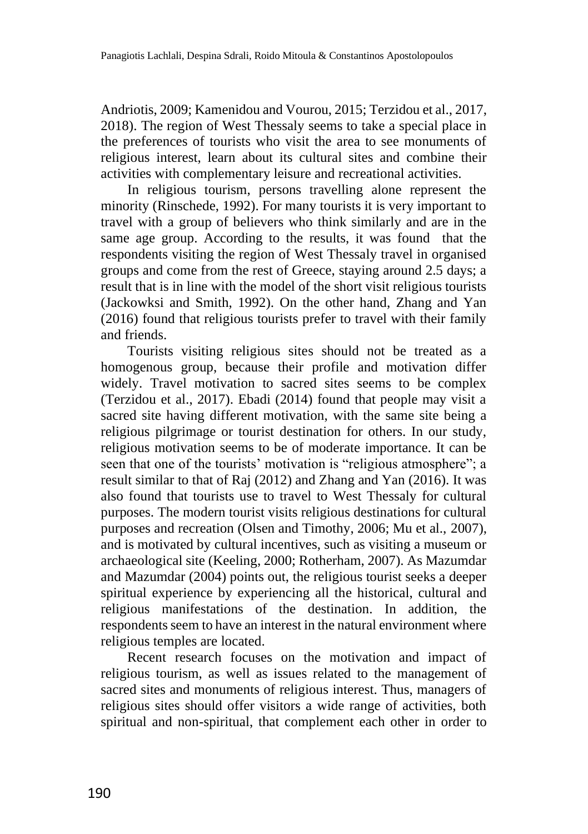Andriotis, 2009; Kamenidou and Vourou, 2015; Terzidou et al., 2017, 2018). The region of West Thessaly seems to take a special place in the preferences of tourists who visit the area to see monuments of religious interest, learn about its cultural sites and combine their activities with complementary leisure and recreational activities.

In religious tourism, persons travelling alone represent the minority (Rinschede, 1992). For many tourists it is very important to travel with a group of believers who think similarly and are in the same age group. According to the results, it was found that the respondents visiting the region of West Thessaly travel in organised groups and come from the rest of Greece, staying around 2.5 days; a result that is in line with the model of the short visit religious tourists (Jackowksi and Smith, 1992). On the other hand, Zhang and Yan (2016) found that religious tourists prefer to travel with their family and friends.

Tourists visiting religious sites should not be treated as a homogenous group, because their profile and motivation differ widely. Travel motivation to sacred sites seems to be complex (Terzidou et al., 2017). Ebadi (2014) found that people may visit a sacred site having different motivation, with the same site being a religious pilgrimage or tourist destination for others. In our study, religious motivation seems to be of moderate importance. It can be seen that one of the tourists' motivation is "religious atmosphere"; a result similar to that of Raj (2012) and Zhang and Yan (2016). It was also found that tourists use to travel to West Thessaly for cultural purposes. The modern tourist visits religious destinations for cultural purposes and recreation (Olsen and Timothy, 2006; Mu et al., 2007), and is motivated by cultural incentives, such as visiting a museum or archaeological site (Keeling, 2000; Rotherham, 2007). As Mazumdar and Mazumdar (2004) points out, the religious tourist seeks a deeper spiritual experience by experiencing all the historical, cultural and religious manifestations of the destination. In addition, the respondents seem to have an interest in the natural environment where religious temples are located.

Recent research focuses on the motivation and impact of religious tourism, as well as issues related to the management of sacred sites and monuments of religious interest. Thus, managers of religious sites should offer visitors a wide range of activities, both spiritual and non-spiritual, that complement each other in order to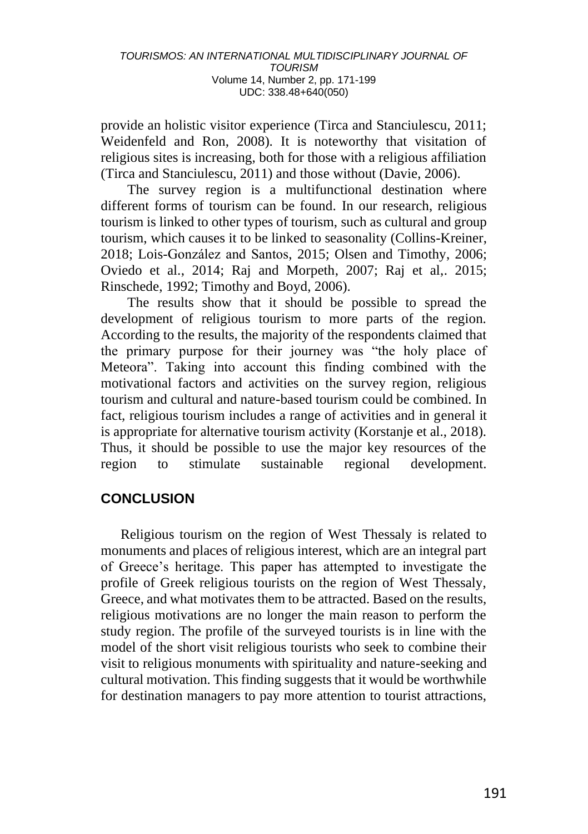provide an holistic visitor experience (Tirca and Stanciulescu, 2011; Weidenfeld and Ron, 2008). It is noteworthy that visitation of religious sites is increasing, both for those with a religious affiliation (Tirca and Stanciulescu, 2011) and those without (Davie, 2006).

The survey region is a multifunctional destination where different forms of tourism can be found. In our research, religious tourism is linked to other types of tourism, such as cultural and group tourism, which causes it to be linked to seasonality (Collins-Kreiner, 2018; Lois-González and Santos, 2015; Olsen and Timothy, 2006; Oviedo et al., 2014; Raj and Morpeth, 2007; Raj et al,. 2015; Rinschede, 1992; Timothy and Boyd, 2006).

The results show that it should be possible to spread the development of religious tourism to more parts of the region. According to the results, the majority of the respondents claimed that the primary purpose for their journey was "the holy place of Meteora". Taking into account this finding combined with the motivational factors and activities on the survey region, religious tourism and cultural and nature-based tourism could be combined. In fact, religious tourism includes a range of activities and in general it is appropriate for alternative tourism activity (Korstanje et al., 2018). Thus, it should be possible to use the major key resources of the region to stimulate sustainable regional development.

### **CONCLUSION**

Religious tourism on the region of West Thessaly is related to monuments and places of religious interest, which are an integral part of Greece's heritage. This paper has attempted to investigate the profile of Greek religious tourists on the region of West Thessaly, Greece, and what motivates them to be attracted. Based on the results, religious motivations are no longer the main reason to perform the study region. The profile of the surveyed tourists is in line with the model of the short visit religious tourists who seek to combine their visit to religious monuments with spirituality and nature-seeking and cultural motivation. This finding suggests that it would be worthwhile for destination managers to pay more attention to tourist attractions,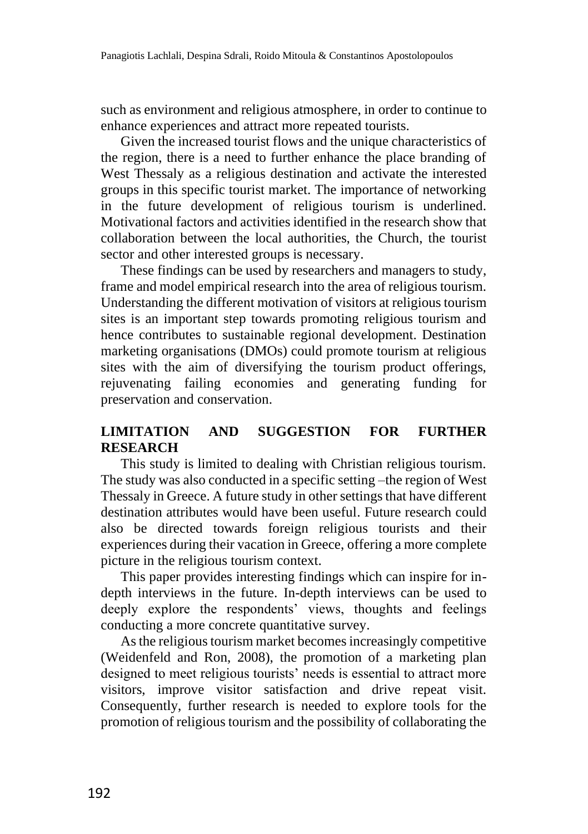such as environment and religious atmosphere, in order to continue to enhance experiences and attract more repeated tourists.

Given the increased tourist flows and the unique characteristics of the region, there is a need to further enhance the place branding of West Thessaly as a religious destination and activate the interested groups in this specific tourist market. The importance of networking in the future development of religious tourism is underlined. Motivational factors and activities identified in the research show that collaboration between the local authorities, the Church, the tourist sector and other interested groups is necessary.

These findings can be used by researchers and managers to study, frame and model empirical research into the area of religious tourism. Understanding the different motivation of visitors at religious tourism sites is an important step towards promoting religious tourism and hence contributes to sustainable regional development. Destination marketing organisations (DMOs) could promote tourism at religious sites with the aim of diversifying the tourism product offerings, rejuvenating failing economies and generating funding for preservation and conservation.

### **LIMITATION AND SUGGESTION FOR FURTHER RESEARCH**

This study is limited to dealing with Christian religious tourism. The study was also conducted in a specific setting –the region of West Thessaly in Greece. A future study in other settings that have different destination attributes would have been useful. Future research could also be directed towards foreign religious tourists and their experiences during their vacation in Greece, offering a more complete picture in the religious tourism context.

This paper provides interesting findings which can inspire for indepth interviews in the future. In-depth interviews can be used to deeply explore the respondents' views, thoughts and feelings conducting a more concrete quantitative survey.

As the religious tourism market becomes increasingly competitive (Weidenfeld and Ron, 2008), the promotion of a marketing plan designed to meet religious tourists' needs is essential to attract more visitors, improve visitor satisfaction and drive repeat visit. Consequently, further research is needed to explore tools for the promotion of religious tourism and the possibility of collaborating the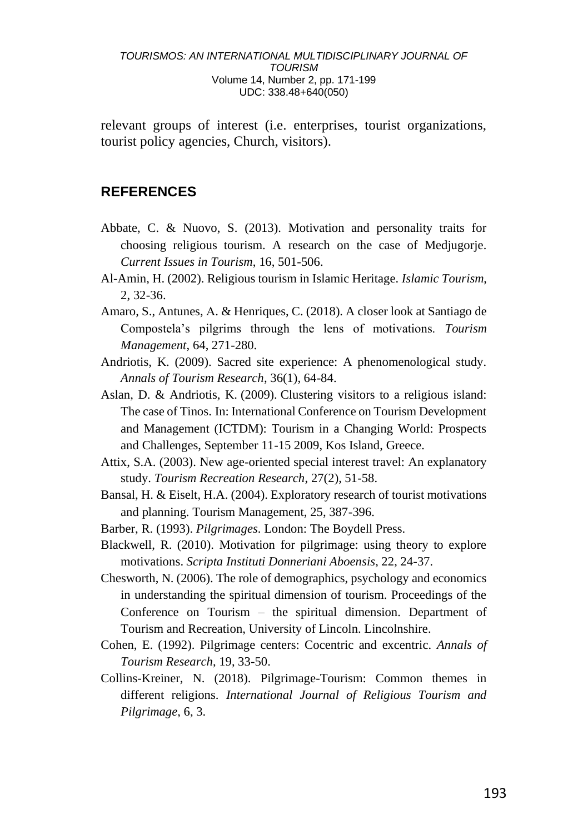relevant groups of interest (i.e. enterprises, tourist organizations, tourist policy agencies, Church, visitors).

#### **REFERENCES**

- Abbate, C. & Nuovo, S. (2013). Motivation and personality traits for choosing religious tourism. A research on the case of Medjugorje. *Current Issues in Tourism*, 16, 501-506.
- Al-Amin, H. (2002). Religious tourism in Islamic Heritage. *Islamic Tourism*, 2, 32-36.
- Amaro, S., Antunes, Α. & Henriques, C. (2018). A closer look at Santiago de Compostela's pilgrims through the lens of motivations. *Tourism Management*, 64, 271-280.
- Andriotis, K. (2009). Sacred site experience: A phenomenological study. *Annals of Tourism Research*, 36(1), 64-84.
- Aslan, D. & Andriotis, K. (2009). Clustering visitors to a religious island: The case of Tinos. In: International Conference on Tourism Development and Management (ICTDM): Tourism in a Changing World: Prospects and Challenges, September 11-15 2009, Kos Island, Greece.
- Attix, S.A. (2003). New age-oriented special interest travel: An explanatory study. *Tourism Recreation Research*, 27(2), 51-58.
- Bansal, H. & Eiselt, H.A. (2004). Exploratory research of tourist motivations and planning. Tourism Management, 25, 387-396.
- Barber, R. (1993). *Pilgrimages*. London: The Boydell Press.
- Blackwell, R. (2010). Motivation for pilgrimage: using theory to explore motivations. *Scripta Instituti Donneriani Aboensis*, 22, 24-37.
- Chesworth, N. (2006). The role of demographics, psychology and economics in understanding the spiritual dimension of tourism. Proceedings of the Conference on Tourism – the spiritual dimension. Department of Tourism and Recreation, University of Lincoln. Lincolnshire.
- Cohen, E. (1992). Pilgrimage centers: Cocentric and excentric. *Annals of Tourism Research*, 19, 33-50.
- Collins-Kreiner, N. (2018). Pilgrimage-Tourism: Common themes in different religions. *International Journal of Religious Tourism and Pilgrimage*, 6, 3.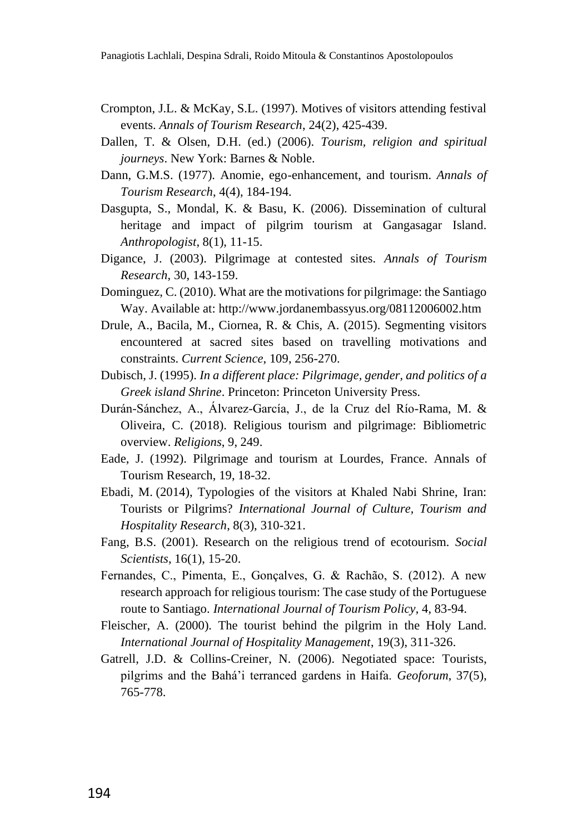- Crompton, J.L. & McKay, S.L. (1997). Motives of visitors attending festival events. *Annals of Tourism Research*, 24(2), 425-439.
- Dallen, T. & Olsen, D.H. (ed.) (2006). *Tourism, religion and spiritual journeys*. New York: Barnes & Noble.
- Dann, G.M.S. (1977). Anomie, ego-enhancement, and tourism. *Annals of Tourism Research*, 4(4), 184-194.
- Dasgupta, S., Mondal, K. & Basu, K. (2006). Dissemination of cultural heritage and impact of pilgrim tourism at Gangasagar Island. *Anthropologist*, 8(1), 11-15.
- Digance, J. (2003). Pilgrimage at contested sites. *Annals of Tourism Research*, 30, 143-159.
- Dominguez, C. (2010). What are the motivations for pilgrimage: the Santiago Way. Available at: http://www.jordanembassyus.org/08112006002.htm
- Drule, A., Bacila, M., Ciornea, R. & Chis, A. (2015). Segmenting visitors encountered at sacred sites based on travelling motivations and constraints. *Current Science*, 109, 256-270.
- Dubisch, J. (1995). *In a different place: Pilgrimage, gender, and politics of a Greek island Shrine*. Princeton: Princeton University Press.
- Durán-Sánchez, A., Álvarez-García, J., de la Cruz del Río-Rama, M. & Oliveira, C. (2018). Religious tourism and pilgrimage: Bibliometric overview. *Religions*, 9, 249.
- Eade, J. (1992). Pilgrimage and tourism at Lourdes, France. Annals of Tourism Research, 19, 18-32.
- Ebadi, M. (2014), Typologies of the visitors at Khaled Nabi Shrine, Iran: Tourists or Pilgrims? *International Journal of Culture, Tourism and Hospitality Research*, 8(3), 310-321.
- Fang, B.S. (2001). Research on the religious trend of ecotourism. *Social Scientists*, 16(1), 15-20.
- Fernandes, C., Pimenta, E., Gonçalves, G. & Rachão, S. (2012). A new research approach for religious tourism: The case study of the Portuguese route to Santiago. *International Journal of Tourism Policy*, 4, 83-94.
- Fleischer, A. (2000). The tourist behind the pilgrim in the Holy Land. *International Journal of Hospitality Management*, 19(3), 311-326.
- Gatrell, J.D. & Collins-Creiner, N. (2006). Negotiated space: Tourists, pilgrims and the Bahá'i terranced gardens in Haifa. *Geoforum*, 37(5), 765-778.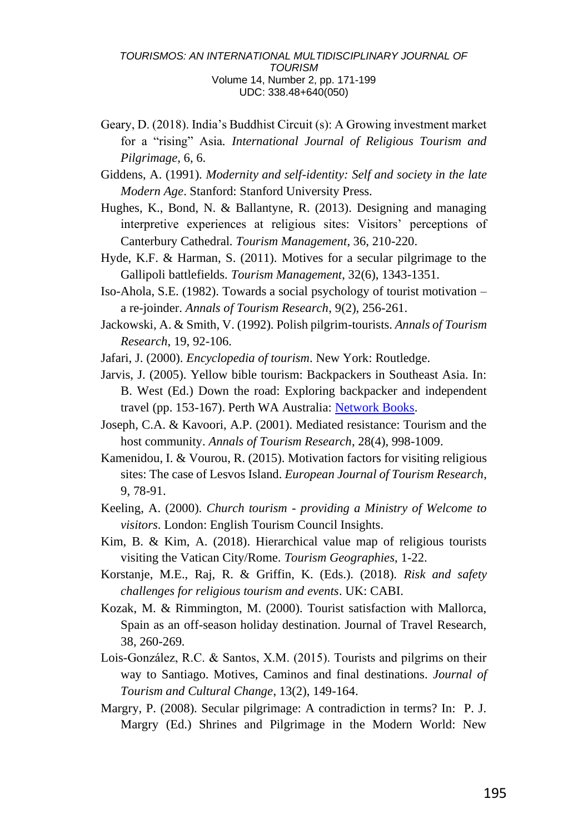- Geary, D. (2018). India's Buddhist Circuit (s): A Growing investment market for a "rising" Asia*. International Journal of Religious Tourism and Pilgrimage*, 6, 6.
- Giddens, A. (1991). *Modernity and self-identity: Self and society in the late Modern Age*. Stanford: Stanford University Press.
- Hughes, K., Bond, N. & Ballantyne, R. (2013). Designing and managing interpretive experiences at religious sites: Visitors' perceptions of Canterbury Cathedral. *Tourism Management*, 36, 210-220.
- Hyde, K.F. & Harman, S. (2011). Motives for a secular pilgrimage to the Gallipoli battlefields. *Tourism Management*, 32(6), 1343-1351.
- Iso-Ahola, S.E. (1982). Towards a social psychology of tourist motivation a re-joinder. *Annals of Tourism Research*, 9(2), 256-261.
- Jackowski, A. & Smith, V. (1992). Polish pilgrim-tourists. *Annals of Tourism Research*, 19, 92-106.

Jafari, J. (2000). *Encyclopedia of tourism*. New York: Routledge.

- Jarvis, J. (2005). Yellow bible tourism: Backpackers in Southeast Asia. In: B. West (Ed.) Down the road: Exploring backpacker and independent travel (pp. 153-167). Perth WA Australia: [Network Books.](https://research.monash.edu/en/persons/jeff-jarvis/publications/?type=%2Fdk%2Fatira%2Fpure%2Fresearchoutput%2Fresearchoutputtypes%2Fcontributiontobookanthology%2Fchapter)
- Joseph, C.A. & Kavoori, A.P. (2001). Mediated resistance: Tourism and the host community. *Annals of Tourism Research*, 28(4), 998-1009.
- Kamenidou, I. & Vourou, R. (2015). Motivation factors for visiting religious sites: The case of Lesvos Island. *European Journal of Tourism Research*, 9, 78-91.
- Keeling, A. (2000). *Church tourism - providing a Ministry of Welcome to visitors*. London: English Tourism Council Insights.
- Kim, B. & Kim, A. (2018). Hierarchical value map of religious tourists visiting the Vatican City/Rome. *Tourism Geographies*, 1-22.
- Korstanje, M.E., Raj, R. & Griffin, K. (Eds.). (2018). *Risk and safety challenges for religious tourism and events*. UK: CABI.
- Kozak, M. & Rimmington, M. (2000). Tourist satisfaction with Mallorca, Spain as an off-season holiday destination. Journal of Travel Research, 38, 260-269.
- Lois-González, R.C. & Santos, X.M. (2015). Tourists and pilgrims on their way to Santiago. Motives, Caminos and final destinations. *Journal of Tourism and Cultural Change*, 13(2), 149-164.
- Margry, P. (2008). Secular pilgrimage: A contradiction in terms? In: P. J. Margry (Ed.) Shrines and Pilgrimage in the Modern World: New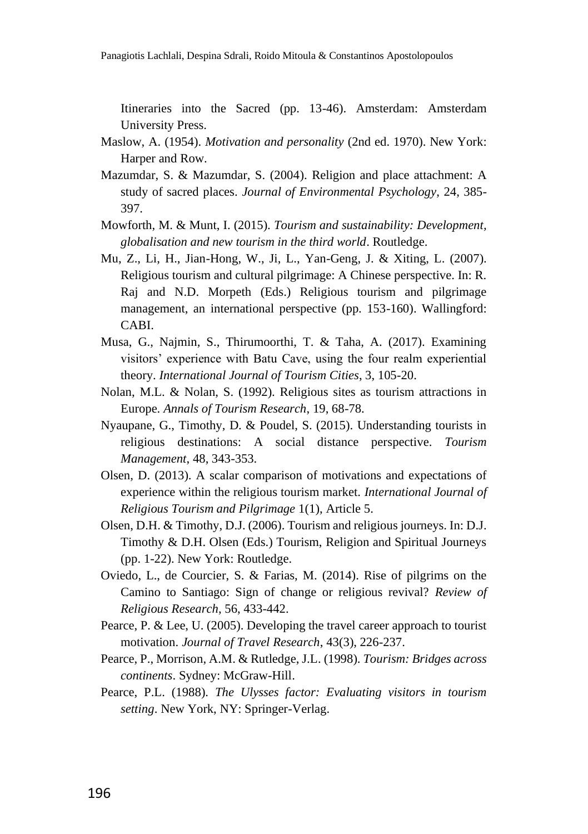Itineraries into the Sacred (pp. 13-46). Amsterdam: Amsterdam University Press.

- Maslow, A. (1954). *Motivation and personality* (2nd ed. 1970). New York: Harper and Row.
- Mazumdar, S. & Mazumdar, S. (2004). Religion and place attachment: A study of sacred places. *Journal of Environmental Psychology*, 24, 385- 397.
- Mowforth, M. & Munt, I. (2015). *Tourism and sustainability: Development, globalisation and new tourism in the third world*. Routledge.
- Mu, Z., Li, H., Jian-Hong, W., Ji, L., Yan-Geng, J. & Xiting, L. (2007). Religious tourism and cultural pilgrimage: A Chinese perspective. In: R. Raj and N.D. Morpeth (Eds.) Religious tourism and pilgrimage management, an international perspective (pp. 153-160). Wallingford: CABI.
- Musa, G., Najmin, S., Thirumoorthi, T. & Taha, A. (2017). Examining visitors' experience with Batu Cave, using the four realm experiential theory. *International Journal of Tourism Cities*, 3, 105-20.
- Nolan, M.L. & Nolan, S. (1992). Religious sites as tourism attractions in Europe. *Annals of Tourism Research*, 19, 68-78.
- Nyaupane, G., Timothy, D. & Poudel, S. (2015). Understanding tourists in religious destinations: A social distance perspective. *Tourism Management*, 48, 343-353.
- Olsen, D. (2013). A scalar comparison of motivations and expectations of experience within the religious tourism market. *International Journal of Religious Tourism and Pilgrimage* 1(1), Article 5.
- Olsen, D.H. & Timothy, D.J. (2006). Tourism and religious journeys. In: D.J. Timothy & D.H. Olsen (Eds.) Tourism, Religion and Spiritual Journeys (pp. 1-22). New York: Routledge.
- Oviedo, L., de Courcier, S. & Farias, M. (2014). Rise of pilgrims on the Camino to Santiago: Sign of change or religious revival? *Review of Religious Research*, 56, 433-442.
- Pearce, P. & Lee, U. (2005). Developing the travel career approach to tourist motivation. *Journal of Travel Research*, 43(3), 226-237.
- Pearce, P., Morrison, A.M. & Rutledge, J.L. (1998). *Tourism: Bridges across continents*. Sydney: McGraw-Hill.
- Pearce, P.L. (1988). *The Ulysses factor: Evaluating visitors in tourism setting*. New York, NY: Springer-Verlag.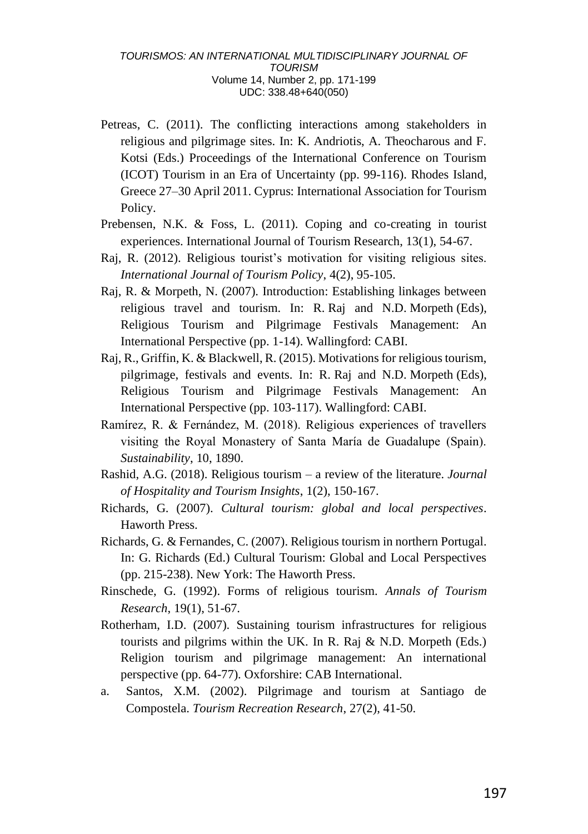- Petreas, C. (2011). The conflicting interactions among stakeholders in religious and pilgrimage sites. In: K. Andriotis, A. Theocharous and F. Kotsi (Eds.) Proceedings of the International Conference on Tourism (ICOT) Tourism in an Era of Uncertainty (pp. 99-116). Rhodes Island, Greece 27–30 April 2011. Cyprus: International Association for Tourism Policy.
- Prebensen, N.K. & Foss, L. (2011). Coping and co-creating in tourist experiences. International Journal of Tourism Research, 13(1), 54-67.
- Raj, R. (2012). Religious tourist's motivation for visiting religious sites. *International Journal of Tourism Policy*, 4(2), 95-105.
- Raj, R. & Morpeth, N. (2007). Introduction: Establishing linkages between religious travel and tourism. In: R. Raj and N.D. Morpeth (Eds), Religious Tourism and Pilgrimage Festivals Management: An International Perspective (pp. 1-14). Wallingford: CABI.
- Raj, R., Griffin, K. & Blackwell, R. (2015). Motivations for religious tourism, pilgrimage, festivals and events. In: R. Raj and N.D. Morpeth (Eds), Religious Tourism and Pilgrimage Festivals Management: An International Perspective (pp. 103-117). Wallingford: CABI.
- Ramírez, R. & Fernández, M. (2018). Religious experiences of travellers visiting the Royal Monastery of Santa María de Guadalupe (Spain). *Sustainability*, 10, 1890.
- Rashid, A.G. (2018). Religious tourism a review of the literature. *Journal of Hospitality and Tourism Insights*, 1(2), 150-167.
- Richards, G. (2007). *Cultural tourism: global and local perspectives*. Haworth Press.
- Richards, G. & Fernandes, C. (2007). Religious tourism in northern Portugal. In: G. Richards (Ed.) Cultural Tourism: Global and Local Perspectives (pp. 215-238). New York: The Haworth Press.
- Rinschede, G. (1992). Forms of religious tourism. *Annals of Tourism Research*, 19(1), 51-67.
- Rotherham, I.D. (2007). Sustaining tourism infrastructures for religious tourists and pilgrims within the UK. In R. Raj & N.D. Morpeth (Eds.) Religion tourism and pilgrimage management: An international perspective (pp. 64-77). Oxforshire: CAB International.
- a. Santos, X.M. (2002). Pilgrimage and tourism at Santiago de Compostela. *Tourism Recreation Research*, 27(2), 41-50.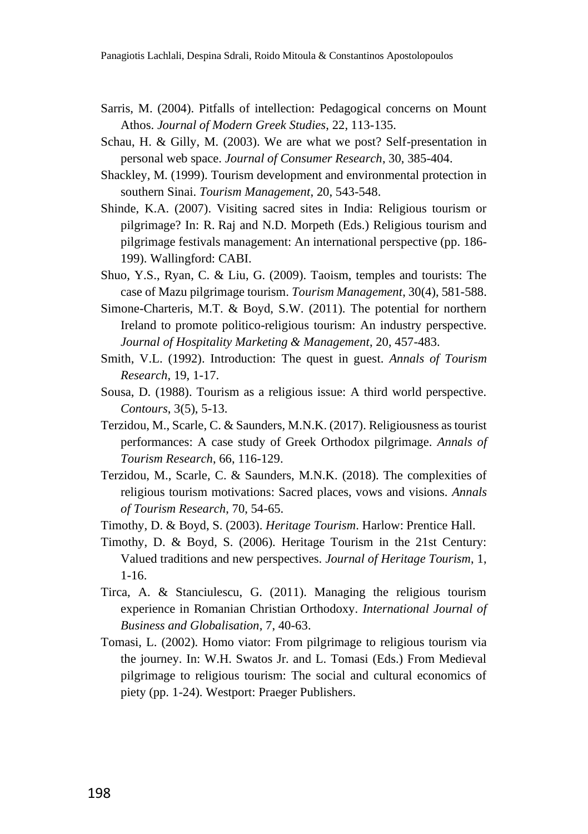- Sarris, M. (2004). Pitfalls of intellection: Pedagogical concerns on Mount Athos. *Journal of Modern Greek Studies*, 22, 113-135.
- Schau, H. & Gilly, M. (2003). We are what we post? Self-presentation in personal web space. *Journal of Consumer Research*, 30, 385-404.
- Shackley, M. (1999). Tourism development and environmental protection in southern Sinai. *Tourism Management*, 20, 543-548.
- Shinde, K.A. (2007). Visiting sacred sites in India: Religious tourism or pilgrimage? In: R. Raj and N.D. Morpeth (Eds.) Religious tourism and pilgrimage festivals management: An international perspective (pp. 186- 199). Wallingford: CABI.
- Shuo, Y.S., Ryan, C. & Liu, G. (2009). Taoism, temples and tourists: The case of Mazu pilgrimage tourism. *Tourism Management*, 30(4), 581-588.
- Simone-Charteris, M.T. & Boyd, S.W. (2011). The potential for northern Ireland to promote politico-religious tourism: An industry perspective. *Journal of Hospitality Marketing & Management*, 20, 457-483.
- Smith, V.L. (1992). Introduction: The quest in guest. *Annals of Tourism Research*, 19, 1-17.
- Sousa, D. (1988). Tourism as a religious issue: A third world perspective. *Contours*, 3(5), 5-13.
- Terzidou, M., Scarle, C. & Saunders, M.N.K. (2017). Religiousness as tourist performances: A case study of Greek Orthodox pilgrimage. *Annals of Tourism Research*, 66, 116-129.
- Terzidou, M., Scarle, C. & Saunders, M.N.K. (2018). The complexities of religious tourism motivations: Sacred places, vows and visions. *Annals of Tourism Research*, 70, 54-65.
- Timothy, D. & Boyd, S. (2003). *Heritage Tourism*. Harlow: Prentice Hall.
- Timothy, D. & Boyd, S. (2006). Heritage Tourism in the 21st Century: Valued traditions and new perspectives. *Journal of Heritage Tourism*, 1, 1-16.
- Tirca, A. & Stanciulescu, G. (2011). Managing the religious tourism experience in Romanian Christian Orthodoxy. *International Journal of Business and Globalisation*, 7, 40-63.
- Tomasi, L. (2002). Homo viator: From pilgrimage to religious tourism via the journey. In: W.H. Swatos Jr. and L. Tomasi (Eds.) From Medieval pilgrimage to religious tourism: The social and cultural economics of piety (pp. 1-24). Westport: Praeger Publishers.